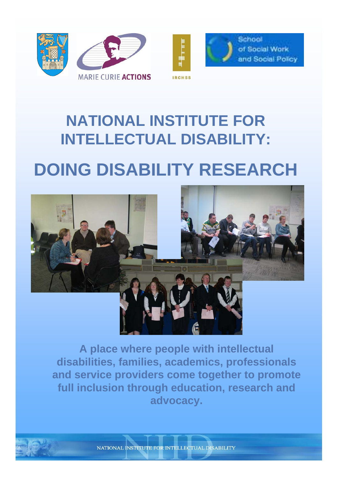



School of Social Work and Social Policy

# **NATIONAL INSTITUTE FOR INTELLECTUAL DISABILITY:**

# **DOING DISABILITY RESEARCH**



**A place where people with intellectual disabilities, families, academics, professionals and service providers come together to promote full inclusion through education, research and advocacy.**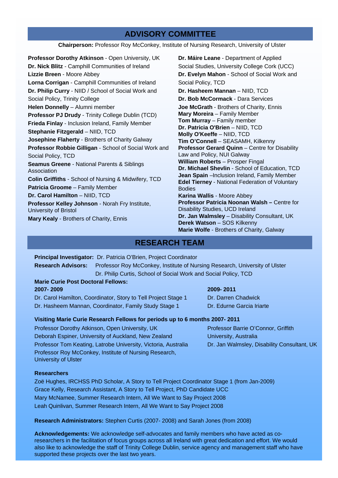#### **ADVISORY COMMITTEE**

**Chairperson:** Professor Roy McConkey, Institute of Nursing Research, University of Ulster

**Professor Dorothy Atkinson** - Open University, UK **Dr. Nick Blitz** - Camphill Communities of Ireland **Lizzie Breen** - Moore Abbey **Lorna Corrigan** - Camphill Communities of Ireland **Dr. Philip Curry** - NIID / School of Social Work and Social Policy, Trinity College **Helen Donnelly** – Alumni member **Professor PJ Drudy** - Trinity College Dublin (TCD) **Frieda Finlay** - Inclusion Ireland, Family Member **Stephanie Fitzgerald** – NIID, TCD **Josephine Flaherty** - Brothers of Charity Galway **Professor Robbie Gilligan** - School of Social Work and Social Policy, TCD **Seamus Greene** - National Parents & Siblings Association **Colin Griffiths** - School of Nursing & Midwifery, TCD **Patricia Groome** – Family Member **Dr. Carol Hamilton** – NIID, TCD **Professor Kelley Johnson** - Norah Fry Institute, University of Bristol **Mary Kealy** - Brothers of Charity, Ennis

**Dr. Máire Leane** - Department of Applied Social Studies, University College Cork (UCC) **Dr. Evelyn Mahon** - School of Social Work and Social Policy, TCD **Dr. Hasheem Mannan** – NIID, TCD **Dr. Bob McCormack** - Dara Services **Joe McGrath** - Brothers of Charity, Ennis **Mary Moreira** – Family Member **Tom Murray** – Family member **Dr. Patricia O'Brien** – NIID, TCD **Molly O'Keeffe** – NIID, TCD **Tim O'Connell** – SEASAMH, Kilkenny **Professor Gerard Quinn** – Centre for Disability Law and Policy, NUI Galway **William Roberts** – Prosper Fingal **Dr. Michael Shevlin** - School of Education, TCD **Jean Spain** –Inclusion Ireland, Family Member **Edel Tierney** - National Federation of Voluntary Bodies **Karina Wallis** - Moore Abbey **Professor Patricia Noonan Walsh –** Centre for Disability Studies, UCD Ireland **Dr. Jan Walmsley** – Disability Consultant, UK **Derek Watson** – SOS Kilkenny **Marie Wolfe** - Brothers of Charity, Galway

#### **RESEARCH TEAM**

**Principal Investigator:** Dr. Patricia O'Brien, Project Coordinator **Research Advisors:** Professor Roy McConkey, Institute of Nursing Research, University of Ulster

Dr. Philip Curtis, School of Social Work and Social Policy, TCD

#### **Marie Curie Post Doctoral Fellows: 2007- 2009**

Dr. Carol Hamilton, Coordinator, Story to Tell Project Stage 1 Dr. Hasheem Mannan, Coordinator, Family Study Stage 1

#### **2009- 2011**

Dr. Darren Chadwick Dr. Edurne Garcia Iriarte

University, Australia

Professor Barrie O'Connor, Griffith

Dr. Jan Walmsley, Disability Consultant, UK

#### **Visiting Marie Curie Research Fellows for periods up to 6 months 2007- 2011**

Professor Dorothy Atkinson, Open University, UK Deborah Espiner, University of Auckland, New Zealand Professor Tom Keating, Latrobe University, Victoria, Australia Professor Roy McConkey, Institute of Nursing Research, University of Ulster

#### **Researchers**

Zoë Hughes, IRCHSS PhD Scholar, A Story to Tell Project Coordinator Stage 1 (from Jan-2009) Grace Kelly, Research Assistant, A Story to Tell Project, PhD Candidate UCC Mary McNamee, Summer Research Intern, All We Want to Say Project 2008 Leah Quinlivan, Summer Research Intern, All We Want to Say Project 2008

**Research Administrators:** Stephen Curtis (2007- 2008) and Sarah Jones (from 2008)

**Acknowledgements:** We acknowledge self-advocates and family members who have acted as coresearchers in the facilitation of focus groups across all Ireland with great dedication and effort. We would also like to acknowledge the staff of Trinity College Dublin, service agency and management staff who have supported these projects over the last two years.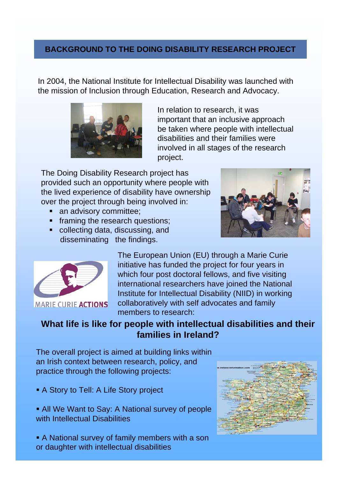## **BACKGROUND TO THE DOING DISABILITY RESEARCH PROJECT**

In 2004, the National Institute for Intellectual Disability was launched with the mission of Inclusion through Education, Research and Advocacy.



In relation to research, it was important that an inclusive approach be taken where people with intellectual disabilities and their families were involved in all stages of the research project.

The Doing Disability Research project has provided such an opportunity where people with the lived experience of disability have ownership over the project through being involved in:

- an advisory committee;
- **framing the research questions;**
- collecting data, discussing, and disseminating the findings.





**MARIE CURIE ACTIONS** 

The European Union (EU) through a Marie Curie initiative has funded the project for four years in which four post doctoral fellows, and five visiting international researchers have joined the National Institute for Intellectual Disability (NIID) in working collaboratively with self advocates and family members to research:

## **What life is like for people with intellectual disabilities and their families in Ireland?**

The overall project is aimed at building links within an Irish context between research, policy, and practice through the following projects:

- A Story to Tell: A Life Story project
- All We Want to Say: A National survey of people with Intellectual Disabilities

 A National survey of family members with a son or daughter with intellectual disabilities

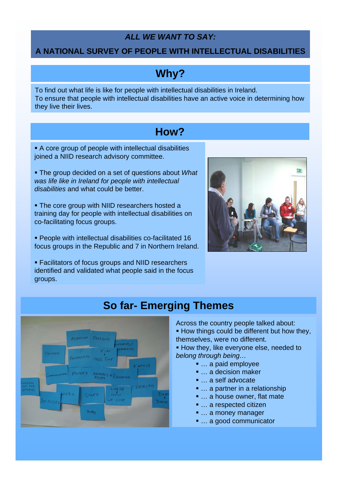## *ALL WE WANT TO SAY:*

#### **A NATIONAL SURVEY OF PEOPLE WITH INTELLECTUAL DISABILITIES**

## **Why?**

To find out what life is like for people with intellectual disabilities in Ireland. To ensure that people with intellectual disabilities have an active voice in determining how they live their lives.

## **How?**

 A core group of people with intellectual disabilities joined a NIID research advisory committee.

 The group decided on a set of questions about *What was life like in Ireland for people with intellectual disabilities* and what could be better.

**The core group with NIID researchers hosted a** training day for people with intellectual disabilities on co-facilitating focus groups.

 People with intellectual disabilities co-facilitated 16 focus groups in the Republic and 7 in Northern Ireland.

 Facilitators of focus groups and NIID researchers identified and validated what people said in the focus groups.





## **So far- Emerging Themes**

Across the country people talked about: **How things could be different but how they,** themselves, were no different.

**How they, like everyone else, needed to** *belong through being…*

- … a paid employee
- … a decision maker
- … a self advocate
- ... a partner in a relationship
- ... a house owner, flat mate
- ... a respected citizen
- ... a money manager
- ... a good communicator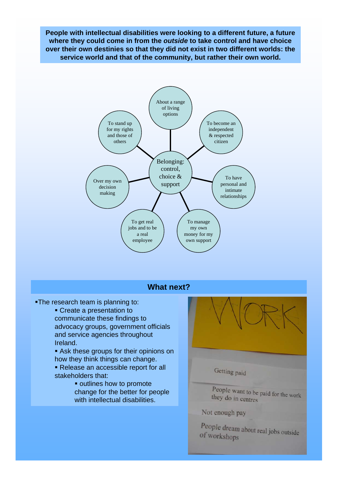**People with intellectual disabilities were looking to a different future, a future where they could come in from the** *outside* **to take control and have choice over their own destinies so that they did not exist in two different worlds: the service world and that of the community, but rather their own world.** 



#### **What next?**

- The research team is planning to:
	- Create a presentation to communicate these findings to advocacy groups, government officials and service agencies throughout Ireland.
	- Ask these groups for their opinions on how they think things can change.
	- Release an accessible report for all stakeholders that:
		- **outlines how to promote** change for the better for people with intellectual disabilities.

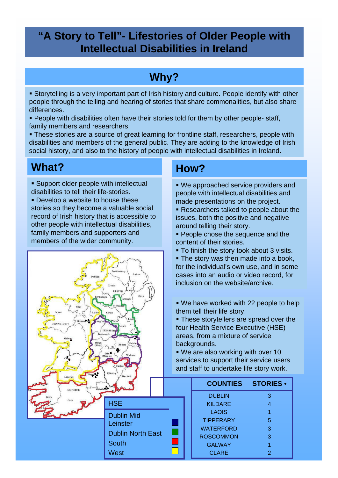## **"A Story to Tell"- Lifestories of Older People with Intellectual Disabilities in Ireland**

## **Why?**

 Storytelling is a very important part of Irish history and culture. People identify with other people through the telling and hearing of stories that share commonalities, but also share differences.

**People with disabilities often have their stories told for them by other people- staff,** family members and researchers.

 These stories are a source of great learning for frontline staff, researchers, people with disabilities and members of the general public. They are adding to the knowledge of Irish social history, and also to the history of people with intellectual disabilities in Ireland.

## **What?**

- **Support older people with intellectual** disabilities to tell their life-stories.
- **Develop a website to house these** stories so they become a valuable social record of Irish history that is accessible to other people with intellectual disabilities, family members and supporters and members of the wider community.



## **How?**

- We approached service providers and people with intellectual disabilities and made presentations on the project.
- Researchers talked to people about the issues, both the positive and negative around telling their story.
- **People chose the sequence and the** content of their stories.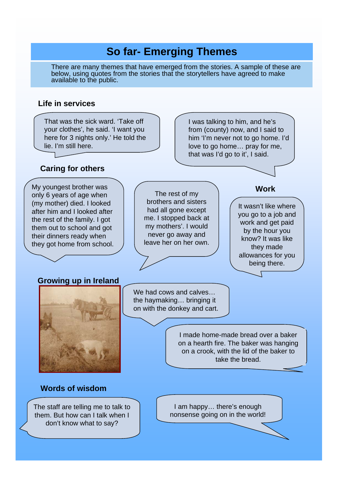## **So far- Emerging Themes**

There are many themes that have emerged from the stories. A sample of these are below, using quotes from the stories that the storytellers have agreed to make available to the public.

#### **Life in services**

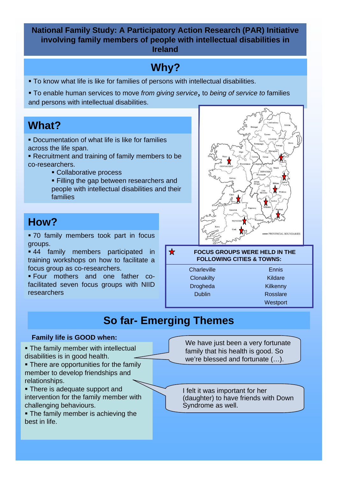**National Family Study: A Participatory Action Research (PAR) Initiative involving family members of people with intellectual disabilities in Ireland**

## **Why?**

- To know what life is like for families of persons with intellectual disabilities.
- To enable human services to move *from giving service,* to *being of service to* families and persons with intellectual disabilities.

## **What?**

- **Documentation of what life is like for families** across the life span.
- Recruitment and training of family members to be co-researchers.
	- Collaborative process
	- **Filling the gap between researchers and** people with intellectual disabilities and their families

## **How?**

 70 family members took part in focus groups.

**44** family members participated in training workshops on how to facilitate a focus group as co-researchers.

 Four mothers and one father cofacilitated seven focus groups with NIID researchers



#### **FOCUS GROUPS WERE HELD IN THE FOLLOWING CITIES & TOWNS:**

**Charleville Clonakilty** Drogheda Dublin

Ennis Kildare Kilkenny Rosslare **Westport** 

## **So far- Emerging Themes**

 $\bigstar$ 

- **The family member with intellectual** disabilities is in good health.
- There are opportunities for the family member to develop friendships and relationships.
- There is adequate support and intervention for the family member with challenging behaviours.
- **The family member is achieving the** best in life.

**Family life is GOOD when:** We have just been a very fortunate family that his health is good. So we're blessed and fortunate (…).

> I felt it was important for her (daughter) to have friends with Down Syndrome as well.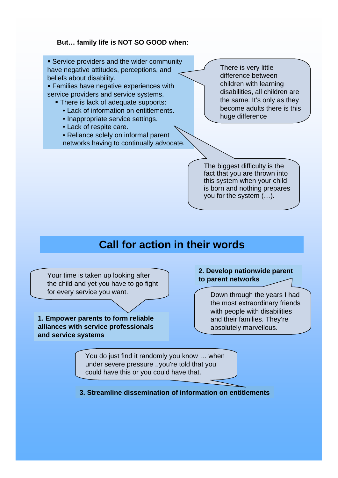#### **But… family life is NOT SO GOOD when:**

**Service providers and the wider community** have negative attitudes, perceptions, and beliefs about disability.

**Families have negative experiences with** service providers and service systems.

- **There is lack of adequate supports:** 
	- Lack of information on entitlements.
	- Inappropriate service settings.
	- Lack of respite care.
	- Reliance solely on informal parent networks having to continually advocate.

There is very little difference between children with learning disabilities, all children are the same. It's only as they become adults there is this huge difference

The biggest difficulty is the fact that you are thrown into this system when your child is born and nothing prepares you for the system (…).

## **Call for action in their words**

Your time is taken up looking after the child and yet you have to go fight for every service you want.

**1. Empower parents to form reliable alliances with service professionals and service systems**

#### **2. Develop nationwide parent to parent networks**

Down through the years I had the most extraordinary friends with people with disabilities and their families. They're absolutely marvellous.

You do just find it randomly you know … when under severe pressure ..you're told that you could have this or you could have that.

**3. Streamline dissemination of information on entitlements**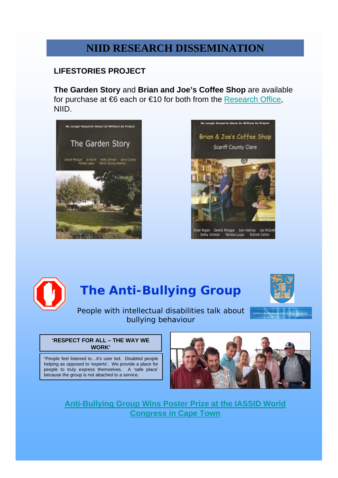## **NIID RESEARCH DISSEMINATION**

### **LIFESTORIES PROJECT**

**The Garden Story** and **Brian and Joe's Coffee Shop** are available for purchase at  $66$  each or  $610$  for both from the [Research Office](mailto:curtisr@tcd.ie), NIID.







## **The Anti-Bullying Group**



People with intellectual disabilities talk about bullying behaviour

#### **'RESPECT FOR ALL – THE WAY WE WORK'**

"People feel listened to…it's user led. Disabled people helping as opposed to 'experts'. We provide a place for people to truly express themselves. A 'safe place' because the group is not attached to a service.



**[Anti-Bullying Group Wins Poster Prize at the IASSID World](http://www.tcd.ie/ciid/news/poster-win-in-Cape-Town.php)  [Congress in Cape Town](http://www.tcd.ie/ciid/news/poster-win-in-Cape-Town.php)**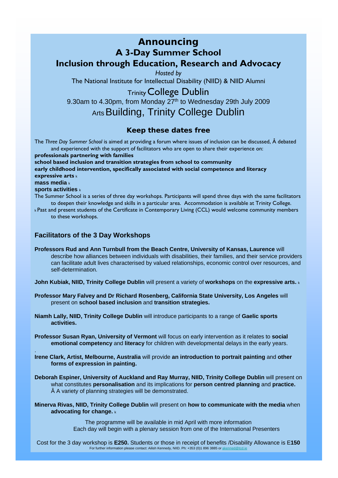### *Announcing* **A 3-Day Summer School Inclusion through Education, Research and Advocacy** *Hosted by*

The National Institute for Intellectual Disability (NIID) & NIID Alumni

TrinityCollege Dublin

9.30am to 4.30pm, from Monday 27<sup>th</sup> to Wednesday 29th July 2009

Arts Building, Trinity College Dublin

#### *Keep these dates free*

The *Three Day Summer School* is aimed at providing a forum where issues of inclusion can be discussed, Â debated and experienced with the support of facilitators who are open to share their experience on:

**professionals partnering with families**

**school based inclusion and transition strategies from school to community early childhood intervention, specifically associated with social competence and literacy expressive arts** <sup>k</sup> **mass media** <sup>k</sup>

#### **sports activities** <sup>k</sup>

.

- The Summer School is a series of three day workshops. Participants will spend three days with the same facilitators to deepen their knowledge and skills in a particular area. Accommodation is available at Trinity College.
- <sup>k</sup>Past and present students of the Certificate in Contemporary Living (CCL) would welcome community members to these workshops.

#### **Facilitators of the 3 Day Workshops**

**Professors Rud and Ann Turnbull from the Beach Centre, University of Kansas, Laurence** will describe how alliances between individuals with disabilities, their families, and their service providers can facilitate adult lives characterised by valued relationships, economic control over resources, and self-determination.

**John Kubiak, NIID, Trinity College Dublin** will present a variety of **workshops** on the **expressive arts.** <sup>k</sup>

- **Professor Mary Falvey and Dr Richard Rosenberg, California State University, Los Angeles** will present on **school based inclusion** and **transition strategies.**
- **Niamh Lally, NIID, Trinity College Dublin** will introduce participants to a range of **Gaelic sports activities.**
- **Professor Susan Ryan, University of Vermont** will focus on early intervention as it relates to **social emotional competency** and **literacy** for children with developmental delays in the early years.
- **Irene Clark, Artist, Melbourne, Australia** will provide **an introduction to portrait painting** and **other forms of expression in painting.**
- **Deborah Espiner, University of Auckland and Ray Murray, NIID, Trinity College Dublin** will present on what constitutes **personalisation** and its implications for **person centred planning** and **practice.**  A variety of planning strategies will be demonstrated.
- **Minerva Rivas, NIID, Trinity College Dublin** will present on **how to communicate with the media** when **advocating for change.** <sup>k</sup>

The programme will be available in mid April with more information Each day will begin with a plenary session from one of the International Presenters

Cost for the 3 day workshop is **E250.** Students or those in receipt of benefits /Disability Allowance is E**150** For further information please contact: Ailish Kennedy, NIID. Ph: +353 (0)1 896 3885 or akenned@tcd